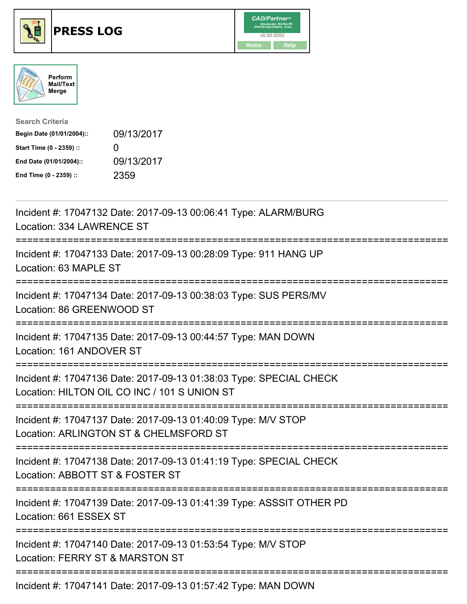





| <b>Search Criteria</b>    |              |
|---------------------------|--------------|
| Begin Date (01/01/2004):: | 09/13/2017   |
| Start Time (0 - 2359) ::  | $\mathbf{U}$ |
| End Date (01/01/2004)::   | 09/13/2017   |
| End Time (0 - 2359) ::    | 2359         |

| Incident #: 17047132 Date: 2017-09-13 00:06:41 Type: ALARM/BURG<br>Location: 334 LAWRENCE ST                                                                               |
|----------------------------------------------------------------------------------------------------------------------------------------------------------------------------|
| Incident #: 17047133 Date: 2017-09-13 00:28:09 Type: 911 HANG UP<br>Location: 63 MAPLE ST<br>:============                                                                 |
| Incident #: 17047134 Date: 2017-09-13 00:38:03 Type: SUS PERS/MV<br>Location: 86 GREENWOOD ST                                                                              |
| Incident #: 17047135 Date: 2017-09-13 00:44:57 Type: MAN DOWN<br>Location: 161 ANDOVER ST<br>--------------                                                                |
| Incident #: 17047136 Date: 2017-09-13 01:38:03 Type: SPECIAL CHECK<br>Location: HILTON OIL CO INC / 101 S UNION ST<br>--------------------                                 |
| Incident #: 17047137 Date: 2017-09-13 01:40:09 Type: M/V STOP<br>Location: ARLINGTON ST & CHELMSFORD ST<br>:===========================<br>-------------------------       |
| Incident #: 17047138 Date: 2017-09-13 01:41:19 Type: SPECIAL CHECK<br>Location: ABBOTT ST & FOSTER ST<br>===================================<br>:========================= |
| Incident #: 17047139 Date: 2017-09-13 01:41:39 Type: ASSSIT OTHER PD<br>Location: 661 ESSEX ST                                                                             |
| Incident #: 17047140 Date: 2017-09-13 01:53:54 Type: M/V STOP<br>Location: FERRY ST & MARSTON ST                                                                           |
| Incident #: 17047141 Date: 2017-09-13 01:57:42 Type: MAN DOWN                                                                                                              |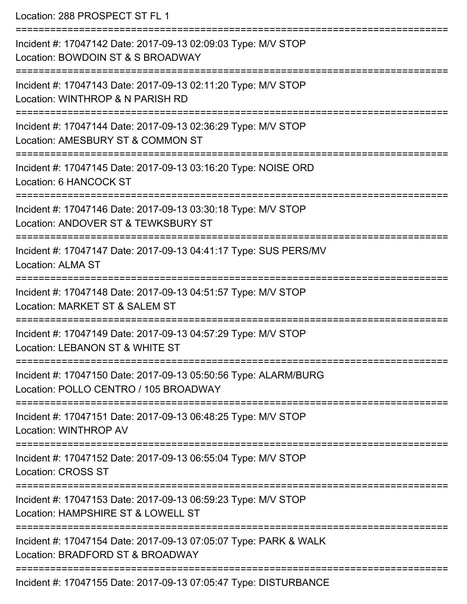| Location: 288 PROSPECT ST FL 1                                                                                        |
|-----------------------------------------------------------------------------------------------------------------------|
| Incident #: 17047142 Date: 2017-09-13 02:09:03 Type: M/V STOP<br>Location: BOWDOIN ST & S BROADWAY                    |
| Incident #: 17047143 Date: 2017-09-13 02:11:20 Type: M/V STOP<br>Location: WINTHROP & N PARISH RD                     |
| Incident #: 17047144 Date: 2017-09-13 02:36:29 Type: M/V STOP<br>Location: AMESBURY ST & COMMON ST                    |
| Incident #: 17047145 Date: 2017-09-13 03:16:20 Type: NOISE ORD<br>Location: 6 HANCOCK ST                              |
| Incident #: 17047146 Date: 2017-09-13 03:30:18 Type: M/V STOP<br>Location: ANDOVER ST & TEWKSBURY ST                  |
| ====================<br>Incident #: 17047147 Date: 2017-09-13 04:41:17 Type: SUS PERS/MV<br><b>Location: ALMA ST</b>  |
| ------------------<br>Incident #: 17047148 Date: 2017-09-13 04:51:57 Type: M/V STOP<br>Location: MARKET ST & SALEM ST |
| Incident #: 17047149 Date: 2017-09-13 04:57:29 Type: M/V STOP<br>Location: LEBANON ST & WHITE ST                      |
| Incident #: 17047150 Date: 2017-09-13 05:50:56 Type: ALARM/BURG<br>Location: POLLO CENTRO / 105 BROADWAY              |
| Incident #: 17047151 Date: 2017-09-13 06:48:25 Type: M/V STOP<br>Location: WINTHROP AV                                |
| Incident #: 17047152 Date: 2017-09-13 06:55:04 Type: M/V STOP<br><b>Location: CROSS ST</b>                            |
| Incident #: 17047153 Date: 2017-09-13 06:59:23 Type: M/V STOP<br>Location: HAMPSHIRE ST & LOWELL ST                   |
| Incident #: 17047154 Date: 2017-09-13 07:05:07 Type: PARK & WALK<br>Location: BRADFORD ST & BROADWAY                  |
| Incident #: 17047155 Date: 2017-09-13 07:05:47 Type: DISTURBANCE                                                      |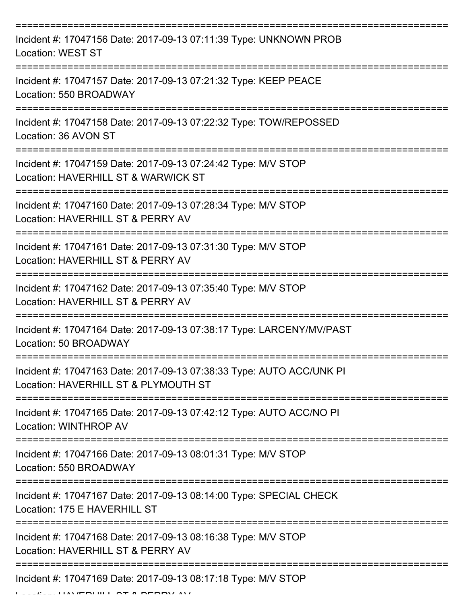| Incident #: 17047156 Date: 2017-09-13 07:11:39 Type: UNKNOWN PROB<br><b>Location: WEST ST</b>                |
|--------------------------------------------------------------------------------------------------------------|
| Incident #: 17047157 Date: 2017-09-13 07:21:32 Type: KEEP PEACE<br>Location: 550 BROADWAY                    |
| Incident #: 17047158 Date: 2017-09-13 07:22:32 Type: TOW/REPOSSED<br>Location: 36 AVON ST                    |
| Incident #: 17047159 Date: 2017-09-13 07:24:42 Type: M/V STOP<br>Location: HAVERHILL ST & WARWICK ST         |
| Incident #: 17047160 Date: 2017-09-13 07:28:34 Type: M/V STOP<br>Location: HAVERHILL ST & PERRY AV           |
| Incident #: 17047161 Date: 2017-09-13 07:31:30 Type: M/V STOP<br>Location: HAVERHILL ST & PERRY AV           |
| Incident #: 17047162 Date: 2017-09-13 07:35:40 Type: M/V STOP<br>Location: HAVERHILL ST & PERRY AV           |
| Incident #: 17047164 Date: 2017-09-13 07:38:17 Type: LARCENY/MV/PAST<br>Location: 50 BROADWAY                |
| Incident #: 17047163 Date: 2017-09-13 07:38:33 Type: AUTO ACC/UNK PI<br>Location: HAVERHILL ST & PLYMOUTH ST |
| Incident #: 17047165 Date: 2017-09-13 07:42:12 Type: AUTO ACC/NO PI<br>Location: WINTHROP AV                 |
| Incident #: 17047166 Date: 2017-09-13 08:01:31 Type: M/V STOP<br>Location: 550 BROADWAY                      |
| Incident #: 17047167 Date: 2017-09-13 08:14:00 Type: SPECIAL CHECK<br>Location: 175 E HAVERHILL ST           |
| Incident #: 17047168 Date: 2017-09-13 08:16:38 Type: M/V STOP<br>Location: HAVERHILL ST & PERRY AV           |
| Incident #: 17047169 Date: 2017-09-13 08:17:18 Type: M/V STOP                                                |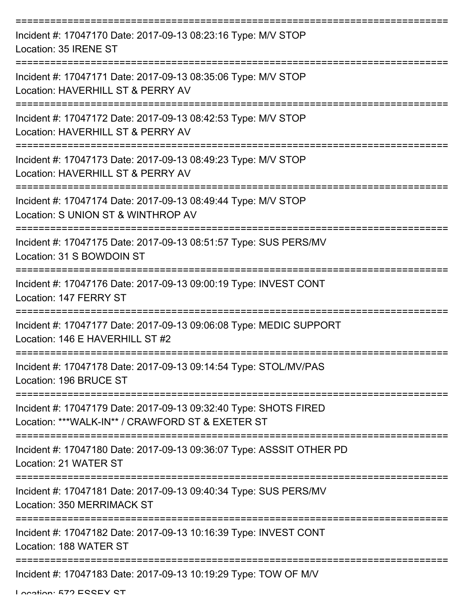| Incident #: 17047170 Date: 2017-09-13 08:23:16 Type: M/V STOP<br>Location: 35 IRENE ST                               |
|----------------------------------------------------------------------------------------------------------------------|
| Incident #: 17047171 Date: 2017-09-13 08:35:06 Type: M/V STOP<br>Location: HAVERHILL ST & PERRY AV                   |
| Incident #: 17047172 Date: 2017-09-13 08:42:53 Type: M/V STOP<br>Location: HAVERHILL ST & PERRY AV                   |
| Incident #: 17047173 Date: 2017-09-13 08:49:23 Type: M/V STOP<br>Location: HAVERHILL ST & PERRY AV                   |
| Incident #: 17047174 Date: 2017-09-13 08:49:44 Type: M/V STOP<br>Location: S UNION ST & WINTHROP AV                  |
| Incident #: 17047175 Date: 2017-09-13 08:51:57 Type: SUS PERS/MV<br>Location: 31 S BOWDOIN ST                        |
| ===================<br>Incident #: 17047176 Date: 2017-09-13 09:00:19 Type: INVEST CONT<br>Location: 147 FERRY ST    |
| Incident #: 17047177 Date: 2017-09-13 09:06:08 Type: MEDIC SUPPORT<br>Location: 146 E HAVERHILL ST #2                |
| Incident #: 17047178 Date: 2017-09-13 09:14:54 Type: STOL/MV/PAS<br>Location: 196 BRUCE ST                           |
| Incident #: 17047179 Date: 2017-09-13 09:32:40 Type: SHOTS FIRED<br>Location: ***WALK-IN** / CRAWFORD ST & EXETER ST |
| Incident #: 17047180 Date: 2017-09-13 09:36:07 Type: ASSSIT OTHER PD<br>Location: 21 WATER ST                        |
| Incident #: 17047181 Date: 2017-09-13 09:40:34 Type: SUS PERS/MV<br>Location: 350 MERRIMACK ST                       |
| Incident #: 17047182 Date: 2017-09-13 10:16:39 Type: INVEST CONT<br>Location: 188 WATER ST                           |
| Incident #: 17047183 Date: 2017-09-13 10:19:29 Type: TOW OF M/V                                                      |

Location: 572 ESSEY ST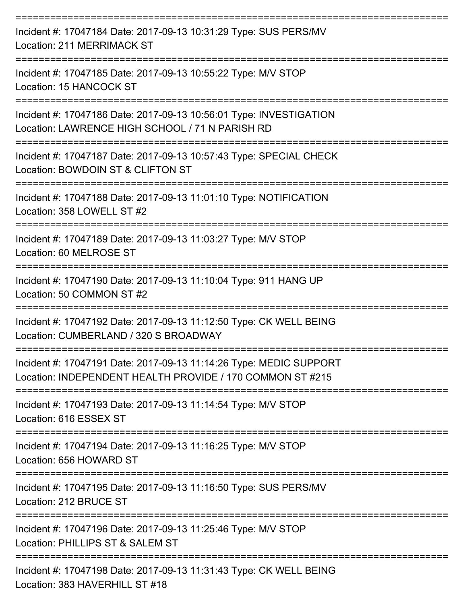| Incident #: 17047184 Date: 2017-09-13 10:31:29 Type: SUS PERS/MV<br><b>Location: 211 MERRIMACK ST</b>                           |
|---------------------------------------------------------------------------------------------------------------------------------|
| Incident #: 17047185 Date: 2017-09-13 10:55:22 Type: M/V STOP<br>Location: 15 HANCOCK ST                                        |
| Incident #: 17047186 Date: 2017-09-13 10:56:01 Type: INVESTIGATION<br>Location: LAWRENCE HIGH SCHOOL / 71 N PARISH RD           |
| Incident #: 17047187 Date: 2017-09-13 10:57:43 Type: SPECIAL CHECK<br>Location: BOWDOIN ST & CLIFTON ST                         |
| Incident #: 17047188 Date: 2017-09-13 11:01:10 Type: NOTIFICATION<br>Location: 358 LOWELL ST #2                                 |
| Incident #: 17047189 Date: 2017-09-13 11:03:27 Type: M/V STOP<br>Location: 60 MELROSE ST                                        |
| Incident #: 17047190 Date: 2017-09-13 11:10:04 Type: 911 HANG UP<br>Location: 50 COMMON ST #2                                   |
| Incident #: 17047192 Date: 2017-09-13 11:12:50 Type: CK WELL BEING<br>Location: CUMBERLAND / 320 S BROADWAY                     |
| Incident #: 17047191 Date: 2017-09-13 11:14:26 Type: MEDIC SUPPORT<br>Location: INDEPENDENT HEALTH PROVIDE / 170 COMMON ST #215 |
| Incident #: 17047193 Date: 2017-09-13 11:14:54 Type: M/V STOP<br>Location: 616 ESSEX ST                                         |
| Incident #: 17047194 Date: 2017-09-13 11:16:25 Type: M/V STOP<br>Location: 656 HOWARD ST                                        |
| Incident #: 17047195 Date: 2017-09-13 11:16:50 Type: SUS PERS/MV<br>Location: 212 BRUCE ST                                      |
| Incident #: 17047196 Date: 2017-09-13 11:25:46 Type: M/V STOP<br>Location: PHILLIPS ST & SALEM ST                               |
| Incident #: 17047198 Date: 2017-09-13 11:31:43 Type: CK WELL BEING<br>Location: 383 HAVERHILL ST #18                            |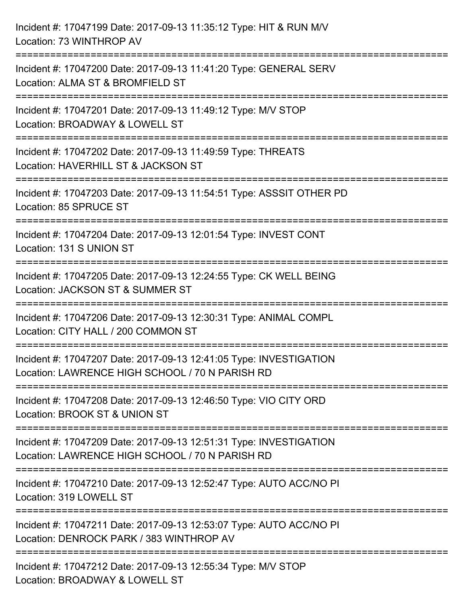| Incident #: 17047199 Date: 2017-09-13 11:35:12 Type: HIT & RUN M/V<br>Location: 73 WINTHROP AV                                        |
|---------------------------------------------------------------------------------------------------------------------------------------|
| Incident #: 17047200 Date: 2017-09-13 11:41:20 Type: GENERAL SERV<br>Location: ALMA ST & BROMFIELD ST                                 |
| Incident #: 17047201 Date: 2017-09-13 11:49:12 Type: M/V STOP<br>Location: BROADWAY & LOWELL ST<br>=================================  |
| Incident #: 17047202 Date: 2017-09-13 11:49:59 Type: THREATS<br>Location: HAVERHILL ST & JACKSON ST<br>====================           |
| Incident #: 17047203 Date: 2017-09-13 11:54:51 Type: ASSSIT OTHER PD<br>Location: 85 SPRUCE ST<br>----------------------------------- |
| Incident #: 17047204 Date: 2017-09-13 12:01:54 Type: INVEST CONT<br>Location: 131 S UNION ST                                          |
| Incident #: 17047205 Date: 2017-09-13 12:24:55 Type: CK WELL BEING<br>Location: JACKSON ST & SUMMER ST                                |
| Incident #: 17047206 Date: 2017-09-13 12:30:31 Type: ANIMAL COMPL<br>Location: CITY HALL / 200 COMMON ST                              |
| Incident #: 17047207 Date: 2017-09-13 12:41:05 Type: INVESTIGATION<br>Location: LAWRENCE HIGH SCHOOL / 70 N PARISH RD                 |
| Incident #: 17047208 Date: 2017-09-13 12:46:50 Type: VIO CITY ORD<br>Location: BROOK ST & UNION ST                                    |
| Incident #: 17047209 Date: 2017-09-13 12:51:31 Type: INVESTIGATION<br>Location: LAWRENCE HIGH SCHOOL / 70 N PARISH RD                 |
| Incident #: 17047210 Date: 2017-09-13 12:52:47 Type: AUTO ACC/NO PI<br>Location: 319 LOWELL ST                                        |
| Incident #: 17047211 Date: 2017-09-13 12:53:07 Type: AUTO ACC/NO PI<br>Location: DENROCK PARK / 383 WINTHROP AV                       |
| Incident #: 17047212 Date: 2017-09-13 12:55:34 Type: M/V STOP<br>Location: BROADWAY & LOWELL ST                                       |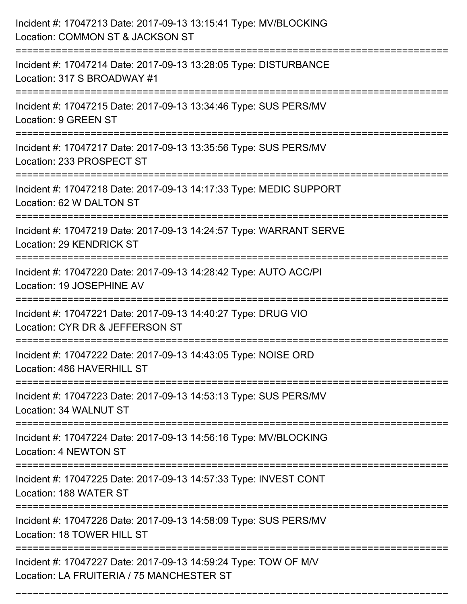| Incident #: 17047213 Date: 2017-09-13 13:15:41 Type: MV/BLOCKING<br>Location: COMMON ST & JACKSON ST                                    |
|-----------------------------------------------------------------------------------------------------------------------------------------|
| Incident #: 17047214 Date: 2017-09-13 13:28:05 Type: DISTURBANCE<br>Location: 317 S BROADWAY #1                                         |
| Incident #: 17047215 Date: 2017-09-13 13:34:46 Type: SUS PERS/MV<br>Location: 9 GREEN ST                                                |
| Incident #: 17047217 Date: 2017-09-13 13:35:56 Type: SUS PERS/MV<br>Location: 233 PROSPECT ST                                           |
| Incident #: 17047218 Date: 2017-09-13 14:17:33 Type: MEDIC SUPPORT<br>Location: 62 W DALTON ST<br>:==================================== |
| Incident #: 17047219 Date: 2017-09-13 14:24:57 Type: WARRANT SERVE<br><b>Location: 29 KENDRICK ST</b>                                   |
| Incident #: 17047220 Date: 2017-09-13 14:28:42 Type: AUTO ACC/PI<br>Location: 19 JOSEPHINE AV                                           |
| Incident #: 17047221 Date: 2017-09-13 14:40:27 Type: DRUG VIO<br>Location: CYR DR & JEFFERSON ST                                        |
| Incident #: 17047222 Date: 2017-09-13 14:43:05 Type: NOISE ORD<br>Location: 486 HAVERHILL ST                                            |
| Incident #: 17047223 Date: 2017-09-13 14:53:13 Type: SUS PERS/MV<br>Location: 34 WALNUT ST                                              |
| Incident #: 17047224 Date: 2017-09-13 14:56:16 Type: MV/BLOCKING<br>Location: 4 NEWTON ST                                               |
| Incident #: 17047225 Date: 2017-09-13 14:57:33 Type: INVEST CONT<br>Location: 188 WATER ST                                              |
| Incident #: 17047226 Date: 2017-09-13 14:58:09 Type: SUS PERS/MV<br>Location: 18 TOWER HILL ST                                          |
| Incident #: 17047227 Date: 2017-09-13 14:59:24 Type: TOW OF M/V<br>Location: LA FRUITERIA / 75 MANCHESTER ST                            |

===========================================================================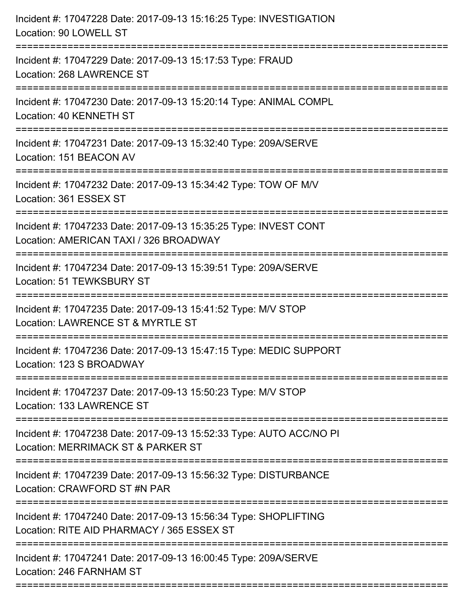| Incident #: 17047228 Date: 2017-09-13 15:16:25 Type: INVESTIGATION<br>Location: 90 LOWELL ST                   |
|----------------------------------------------------------------------------------------------------------------|
| Incident #: 17047229 Date: 2017-09-13 15:17:53 Type: FRAUD<br>Location: 268 LAWRENCE ST                        |
| Incident #: 17047230 Date: 2017-09-13 15:20:14 Type: ANIMAL COMPL<br>Location: 40 KENNETH ST                   |
| Incident #: 17047231 Date: 2017-09-13 15:32:40 Type: 209A/SERVE<br>Location: 151 BEACON AV                     |
| Incident #: 17047232 Date: 2017-09-13 15:34:42 Type: TOW OF M/V<br>Location: 361 ESSEX ST                      |
| Incident #: 17047233 Date: 2017-09-13 15:35:25 Type: INVEST CONT<br>Location: AMERICAN TAXI / 326 BROADWAY     |
| Incident #: 17047234 Date: 2017-09-13 15:39:51 Type: 209A/SERVE<br>Location: 51 TEWKSBURY ST                   |
| Incident #: 17047235 Date: 2017-09-13 15:41:52 Type: M/V STOP<br>Location: LAWRENCE ST & MYRTLE ST             |
| Incident #: 17047236 Date: 2017-09-13 15:47:15 Type: MEDIC SUPPORT<br>Location: 123 S BROADWAY                 |
| Incident #: 17047237 Date: 2017-09-13 15:50:23 Type: M/V STOP<br>Location: 133 LAWRENCE ST                     |
| Incident #: 17047238 Date: 2017-09-13 15:52:33 Type: AUTO ACC/NO PI<br>Location: MERRIMACK ST & PARKER ST      |
| Incident #: 17047239 Date: 2017-09-13 15:56:32 Type: DISTURBANCE<br>Location: CRAWFORD ST #N PAR               |
| Incident #: 17047240 Date: 2017-09-13 15:56:34 Type: SHOPLIFTING<br>Location: RITE AID PHARMACY / 365 ESSEX ST |
| Incident #: 17047241 Date: 2017-09-13 16:00:45 Type: 209A/SERVE<br>Location: 246 FARNHAM ST                    |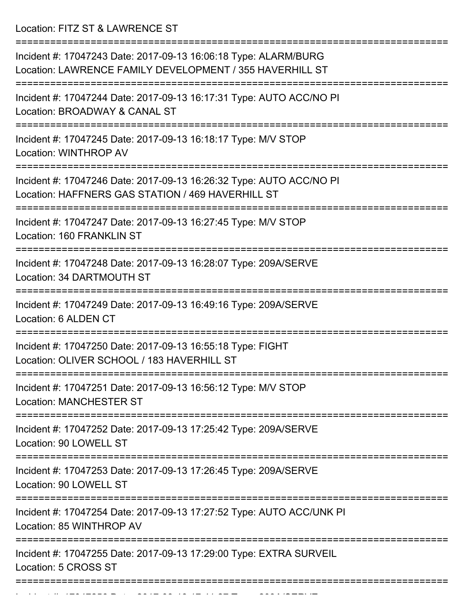Location: FITZ ST & LAWRENCE ST

| Incident #: 17047243 Date: 2017-09-13 16:06:18 Type: ALARM/BURG<br>Location: LAWRENCE FAMILY DEVELOPMENT / 355 HAVERHILL ST |
|-----------------------------------------------------------------------------------------------------------------------------|
| Incident #: 17047244 Date: 2017-09-13 16:17:31 Type: AUTO ACC/NO PI<br>Location: BROADWAY & CANAL ST                        |
| Incident #: 17047245 Date: 2017-09-13 16:18:17 Type: M/V STOP<br><b>Location: WINTHROP AV</b>                               |
| Incident #: 17047246 Date: 2017-09-13 16:26:32 Type: AUTO ACC/NO PI<br>Location: HAFFNERS GAS STATION / 469 HAVERHILL ST    |
| Incident #: 17047247 Date: 2017-09-13 16:27:45 Type: M/V STOP<br>Location: 160 FRANKLIN ST                                  |
| Incident #: 17047248 Date: 2017-09-13 16:28:07 Type: 209A/SERVE<br>Location: 34 DARTMOUTH ST                                |
| Incident #: 17047249 Date: 2017-09-13 16:49:16 Type: 209A/SERVE<br>Location: 6 ALDEN CT                                     |
| ==============<br>Incident #: 17047250 Date: 2017-09-13 16:55:18 Type: FIGHT<br>Location: OLIVER SCHOOL / 183 HAVERHILL ST  |
| Incident #: 17047251 Date: 2017-09-13 16:56:12 Type: M/V STOP<br><b>Location: MANCHESTER ST</b>                             |
| Incident #: 17047252 Date: 2017-09-13 17:25:42 Type: 209A/SERVE<br>Location: 90 LOWELL ST                                   |
| Incident #: 17047253 Date: 2017-09-13 17:26:45 Type: 209A/SERVE<br>Location: 90 LOWELL ST                                   |
| Incident #: 17047254 Date: 2017-09-13 17:27:52 Type: AUTO ACC/UNK PI<br>Location: 85 WINTHROP AV                            |
| Incident #: 17047255 Date: 2017-09-13 17:29:00 Type: EXTRA SURVEIL<br>Location: 5 CROSS ST                                  |
|                                                                                                                             |

Incident #: 17047256 Date: 2017 09 13 17:41:27 Type: 209A/SERVE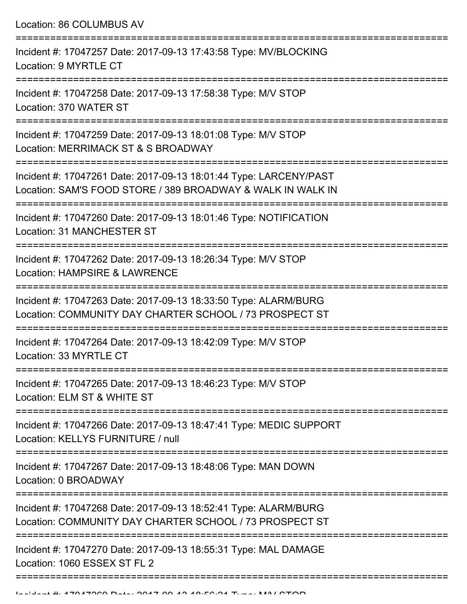Location: 86 COLUMBUS AV =========================================================================== Incident #: 17047257 Date: 2017-09-13 17:43:58 Type: MV/BLOCKING Location: 9 MYRTLE CT =========================================================================== Incident #: 17047258 Date: 2017-09-13 17:58:38 Type: M/V STOP Location: 370 WATER ST =========================================================================== Incident #: 17047259 Date: 2017-09-13 18:01:08 Type: M/V STOP Location: MERRIMACK ST & S BROADWAY =========================================================================== Incident #: 17047261 Date: 2017-09-13 18:01:44 Type: LARCENY/PAST Location: SAM'S FOOD STORE / 389 BROADWAY & WALK IN WALK IN =========================================================================== Incident #: 17047260 Date: 2017-09-13 18:01:46 Type: NOTIFICATION Location: 31 MANCHESTER ST =========================================================================== Incident #: 17047262 Date: 2017-09-13 18:26:34 Type: M/V STOP Location: HAMPSIRE & LAWRENCE =========================================================================== Incident #: 17047263 Date: 2017-09-13 18:33:50 Type: ALARM/BURG Location: COMMUNITY DAY CHARTER SCHOOL / 73 PROSPECT ST =========================================================================== Incident #: 17047264 Date: 2017-09-13 18:42:09 Type: M/V STOP Location: 33 MYRTLE CT =========================================================================== Incident #: 17047265 Date: 2017-09-13 18:46:23 Type: M/V STOP Location: ELM ST & WHITE ST =========================================================================== Incident #: 17047266 Date: 2017-09-13 18:47:41 Type: MEDIC SUPPORT Location: KELLYS FURNITURE / null =========================================================================== Incident #: 17047267 Date: 2017-09-13 18:48:06 Type: MAN DOWN Location: 0 BROADWAY =========================================================================== Incident #: 17047268 Date: 2017-09-13 18:52:41 Type: ALARM/BURG Location: COMMUNITY DAY CHARTER SCHOOL / 73 PROSPECT ST =========================================================================== Incident #: 17047270 Date: 2017-09-13 18:55:31 Type: MAL DAMAGE Location: 1060 ESSEX ST FL 2

===========================================================================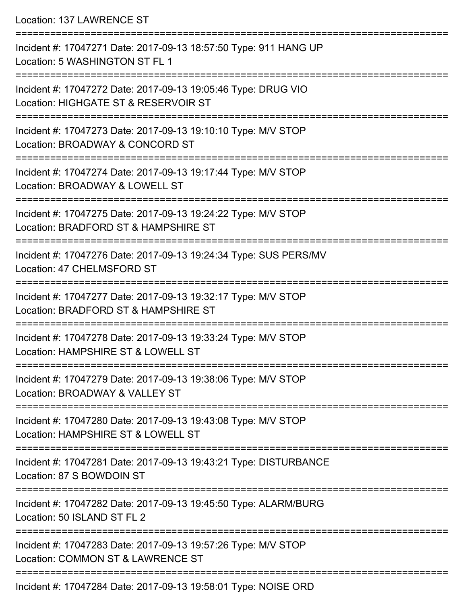Location: 137 LAWRENCE ST =========================================================================== Incident #: 17047271 Date: 2017-09-13 18:57:50 Type: 911 HANG UP Location: 5 WASHINGTON ST FL 1 =========================================================================== Incident #: 17047272 Date: 2017-09-13 19:05:46 Type: DRUG VIO Location: HIGHGATE ST & RESERVOIR ST =========================================================================== Incident #: 17047273 Date: 2017-09-13 19:10:10 Type: M/V STOP Location: BROADWAY & CONCORD ST =========================================================================== Incident #: 17047274 Date: 2017-09-13 19:17:44 Type: M/V STOP Location: BROADWAY & LOWELL ST =========================================================================== Incident #: 17047275 Date: 2017-09-13 19:24:22 Type: M/V STOP Location: BRADFORD ST & HAMPSHIRE ST =========================================================================== Incident #: 17047276 Date: 2017-09-13 19:24:34 Type: SUS PERS/MV Location: 47 CHELMSFORD ST =========================================================================== Incident #: 17047277 Date: 2017-09-13 19:32:17 Type: M/V STOP Location: BRADFORD ST & HAMPSHIRE ST =========================================================================== Incident #: 17047278 Date: 2017-09-13 19:33:24 Type: M/V STOP Location: HAMPSHIRE ST & LOWELL ST =========================================================================== Incident #: 17047279 Date: 2017-09-13 19:38:06 Type: M/V STOP Location: BROADWAY & VALLEY ST =========================================================================== Incident #: 17047280 Date: 2017-09-13 19:43:08 Type: M/V STOP Location: HAMPSHIRE ST & LOWELL ST =========================================================================== Incident #: 17047281 Date: 2017-09-13 19:43:21 Type: DISTURBANCE Location: 87 S BOWDOIN ST =========================================================================== Incident #: 17047282 Date: 2017-09-13 19:45:50 Type: ALARM/BURG Location: 50 ISLAND ST FL 2 =========================================================================== Incident #: 17047283 Date: 2017-09-13 19:57:26 Type: M/V STOP Location: COMMON ST & LAWRENCE ST ===========================================================================

Incident #: 17047284 Date: 2017-09-13 19:58:01 Type: NOISE ORD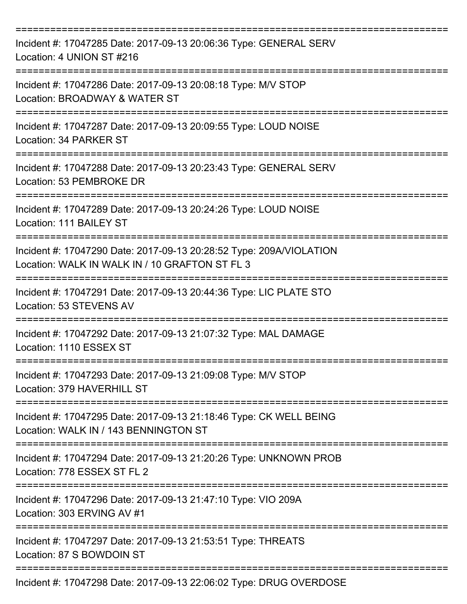| Incident #: 17047285 Date: 2017-09-13 20:06:36 Type: GENERAL SERV<br>Location: 4 UNION ST #216<br>---------------------------------- |
|--------------------------------------------------------------------------------------------------------------------------------------|
| Incident #: 17047286 Date: 2017-09-13 20:08:18 Type: M/V STOP<br>Location: BROADWAY & WATER ST                                       |
| Incident #: 17047287 Date: 2017-09-13 20:09:55 Type: LOUD NOISE<br>Location: 34 PARKER ST                                            |
| Incident #: 17047288 Date: 2017-09-13 20:23:43 Type: GENERAL SERV<br>Location: 53 PEMBROKE DR<br>---------------------               |
| Incident #: 17047289 Date: 2017-09-13 20:24:26 Type: LOUD NOISE<br>Location: 111 BAILEY ST                                           |
| Incident #: 17047290 Date: 2017-09-13 20:28:52 Type: 209A/VIOLATION<br>Location: WALK IN WALK IN / 10 GRAFTON ST FL 3                |
| Incident #: 17047291 Date: 2017-09-13 20:44:36 Type: LIC PLATE STO<br>Location: 53 STEVENS AV                                        |
| Incident #: 17047292 Date: 2017-09-13 21:07:32 Type: MAL DAMAGE<br>Location: 1110 ESSEX ST                                           |
| Incident #: 17047293 Date: 2017-09-13 21:09:08 Type: M/V STOP<br>Location: 379 HAVERHILL ST                                          |
| Incident #: 17047295 Date: 2017-09-13 21:18:46 Type: CK WELL BEING<br>Location: WALK IN / 143 BENNINGTON ST                          |
| Incident #: 17047294 Date: 2017-09-13 21:20:26 Type: UNKNOWN PROB<br>Location: 778 ESSEX ST FL 2                                     |
| Incident #: 17047296 Date: 2017-09-13 21:47:10 Type: VIO 209A<br>Location: 303 ERVING AV #1                                          |
| Incident #: 17047297 Date: 2017-09-13 21:53:51 Type: THREATS<br>Location: 87 S BOWDOIN ST                                            |
| Incident #: 17047298 Date: 2017-09-13 22:06:02 Type: DRUG OVERDOSE                                                                   |